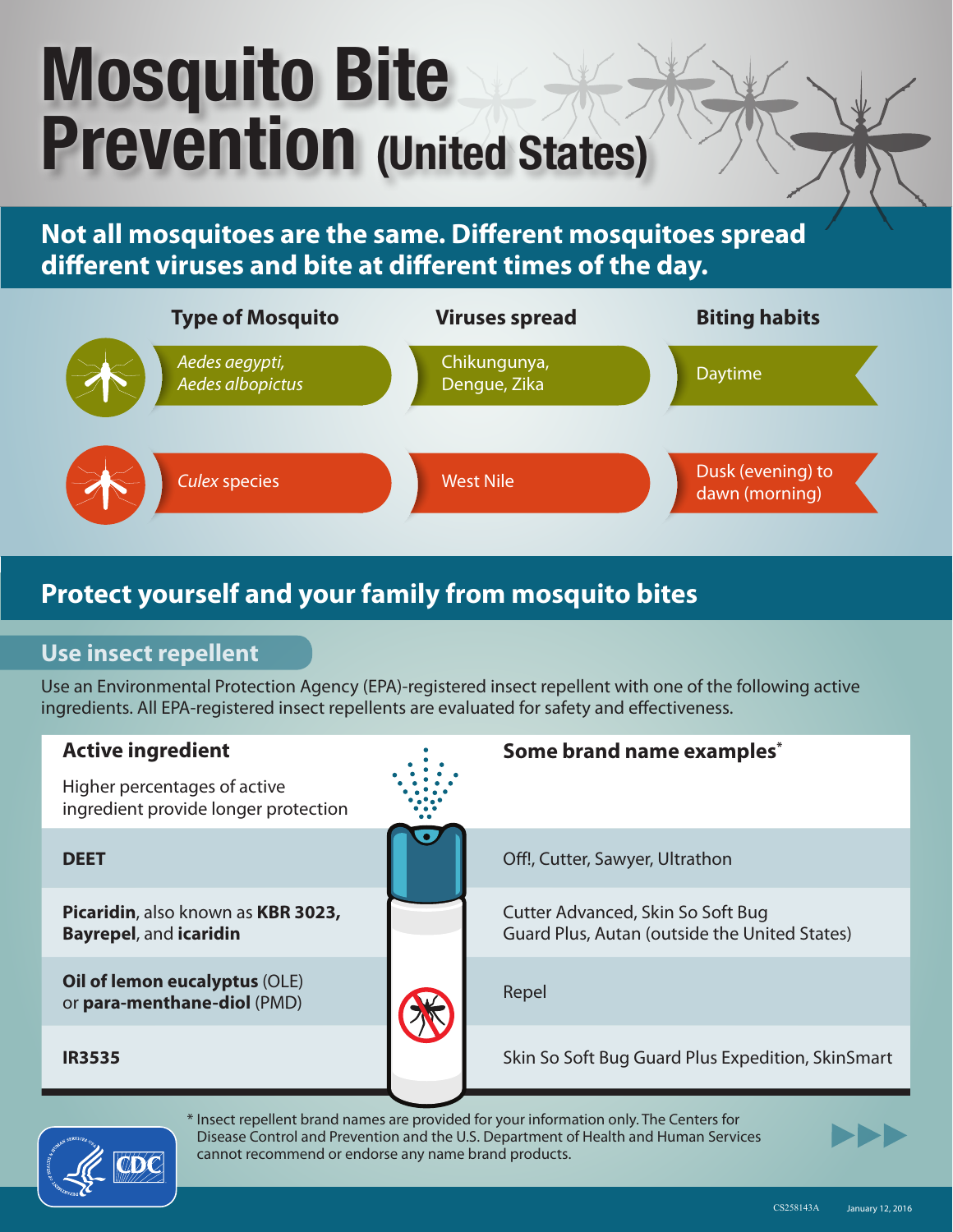# Mosquito Bite Prevention (United States)

**Not all mosquitoes are the same. Different mosquitoes spread different viruses and bite at different times of the day.**



## **Protect yourself and your family from mosquito bites**

## **Use insect repellent**

Use an Environmental Protection Agency (EPA)-registered insect repellent with one of the following active ingredients. All EPA-registered insect repellents are evaluated for safety and effectiveness.





\* Insect repellent brand names are provided for your information only. The Centers for Disease Control and Prevention and the U.S. Department of Health and Human Services cannot recommend or endorse any name brand products.